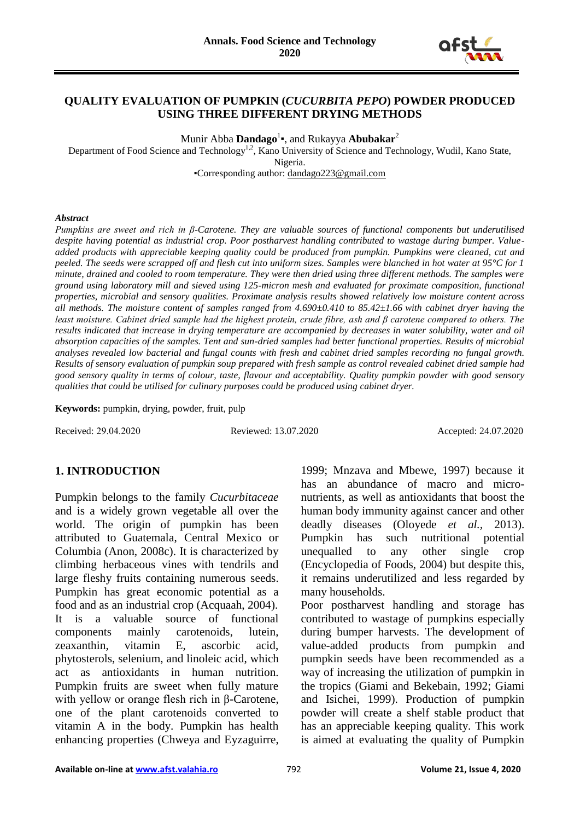

### **QUALITY EVALUATION OF PUMPKIN (***CUCURBITA PEPO***) POWDER PRODUCED USING THREE DIFFERENT DRYING METHODS**

Munir Abba **Dandago**<sup>1</sup> ▪, and Rukayya **Abubakar**<sup>2</sup>

Department of Food Science and Technology<sup>1,2</sup>, Kano University of Science and Technology, Wudil, Kano State, Nigeria.

▪Corresponding author: [dandago223@gmail.com](mailto:dandago223@gmail.com)

#### *Abstract*

*Pumpkins are sweet and rich in β-Carotene. They are valuable sources of functional components but underutilised despite having potential as industrial crop. Poor postharvest handling contributed to wastage during bumper. Valueadded products with appreciable keeping quality could be produced from pumpkin. Pumpkins were cleaned, cut and peeled. The seeds were scrapped off and flesh cut into uniform sizes. Samples were blanched in hot water at 95°C for 1 minute, drained and cooled to room temperature. They were then dried using three different methods. The samples were ground using laboratory mill and sieved using 125-micron mesh and evaluated for proximate composition, functional properties, microbial and sensory qualities. Proximate analysis results showed relatively low moisture content across all methods. The moisture content of samples ranged from 4.690±0.410 to 85.42±1.66 with cabinet dryer having the least moisture. Cabinet dried sample had the highest protein, crude fibre, ash and β carotene compared to others. The results indicated that increase in drying temperature are accompanied by decreases in water solubility, water and oil absorption capacities of the samples. Tent and sun-dried samples had better functional properties. Results of microbial analyses revealed low bacterial and fungal counts with fresh and cabinet dried samples recording no fungal growth. Results of sensory evaluation of pumpkin soup prepared with fresh sample as control revealed cabinet dried sample had good sensory quality in terms of colour, taste, flavour and acceptability. Quality pumpkin powder with good sensory qualities that could be utilised for culinary purposes could be produced using cabinet dryer.*

**Keywords:** pumpkin, drying, powder, fruit, pulp

Received: 29.04.2020 Reviewed: 13.07.2020 Accepted: 24.07.2020

### **1. INTRODUCTION**

Pumpkin belongs to the family *Cucurbitaceae*  and is a widely grown vegetable all over the world. The origin of pumpkin has been attributed to Guatemala, Central Mexico or Columbia (Anon, 2008c). It is characterized by climbing herbaceous vines with tendrils and large fleshy fruits containing numerous seeds. Pumpkin has great economic potential as a food and as an industrial crop (Acquaah, 2004). It is a valuable source of functional components mainly carotenoids, lutein, zeaxanthin, vitamin E, ascorbic acid, phytosterols, selenium, and linoleic acid, which act as antioxidants in human nutrition. Pumpkin fruits are sweet when fully mature with yellow or orange flesh rich in β-Carotene, one of the plant carotenoids converted to vitamin A in the body. Pumpkin has health enhancing properties (Chweya and Eyzaguirre,

1999; Mnzava and Mbewe, 1997) because it has an abundance of macro and micronutrients, as well as antioxidants that boost the human body immunity against cancer and other deadly diseases (Oloyede *et al.,* 2013). Pumpkin has such nutritional potential unequalled to any other single crop (Encyclopedia of Foods, 2004) but despite this, it remains underutilized and less regarded by many households.

Poor postharvest handling and storage has contributed to wastage of pumpkins especially during bumper harvests. The development of value-added products from pumpkin and pumpkin seeds have been recommended as a way of increasing the utilization of pumpkin in the tropics (Giami and Bekebain, 1992; Giami and Isichei, 1999). Production of pumpkin powder will create a shelf stable product that has an appreciable keeping quality. This work is aimed at evaluating the quality of Pumpkin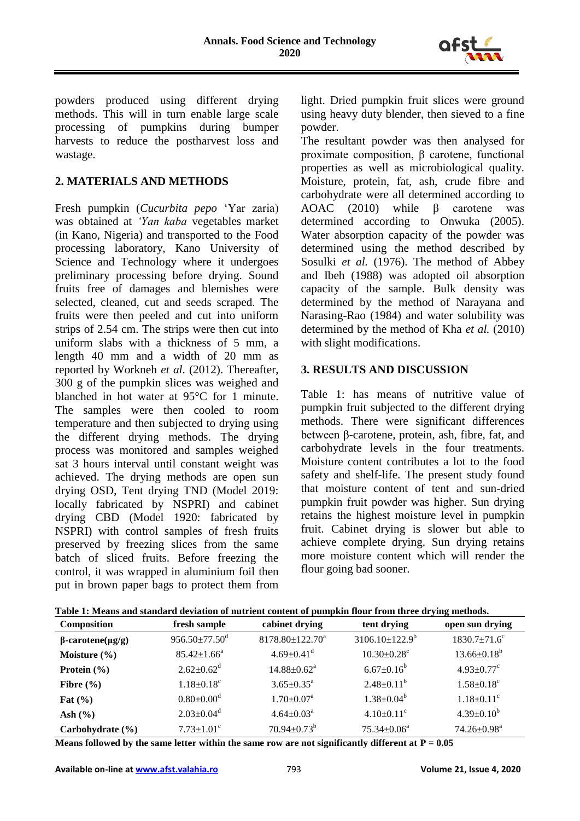

powders produced using different drying methods. This will in turn enable large scale processing of pumpkins during bumper harvests to reduce the postharvest loss and wastage.

# **2. MATERIALS AND METHODS**

Fresh pumpkin (*Cucurbita pepo* 'Yar zaria) was obtained at *'Yan kaba* vegetables market (in Kano, Nigeria) and transported to the Food processing laboratory, Kano University of Science and Technology where it undergoes preliminary processing before drying. Sound fruits free of damages and blemishes were selected, cleaned, cut and seeds scraped. The fruits were then peeled and cut into uniform strips of 2.54 cm. The strips were then cut into uniform slabs with a thickness of 5 mm, a length 40 mm and a width of 20 mm as reported by Workneh *et al*. (2012). Thereafter, 300 g of the pumpkin slices was weighed and blanched in hot water at 95°C for 1 minute. The samples were then cooled to room temperature and then subjected to drying using the different drying methods. The drying process was monitored and samples weighed sat 3 hours interval until constant weight was achieved. The drying methods are open sun drying OSD, Tent drying TND (Model 2019: locally fabricated by NSPRI) and cabinet drying CBD (Model 1920: fabricated by NSPRI) with control samples of fresh fruits preserved by freezing slices from the same batch of sliced fruits. Before freezing the control, it was wrapped in aluminium foil then put in brown paper bags to protect them from light. Dried pumpkin fruit slices were ground using heavy duty blender, then sieved to a fine powder.

The resultant powder was then analysed for proximate composition, β carotene, functional properties as well as microbiological quality. Moisture, protein, fat, ash, crude fibre and carbohydrate were all determined according to AOAC (2010) while β carotene was determined according to Onwuka (2005). Water absorption capacity of the powder was determined using the method described by Sosulki *et al.* (1976). The method of Abbey and Ibeh (1988) was adopted oil absorption capacity of the sample. Bulk density was determined by the method of Narayana and Narasing-Rao (1984) and water solubility was determined by the method of Kha *et al.* (2010) with slight modifications.

## **3. RESULTS AND DISCUSSION**

Table 1: has means of nutritive value of pumpkin fruit subjected to the different drying methods. There were significant differences between β-carotene, protein, ash, fibre, fat, and carbohydrate levels in the four treatments. Moisture content contributes a lot to the food safety and shelf-life. The present study found that moisture content of tent and sun-dried pumpkin fruit powder was higher. Sun drying retains the highest moisture level in pumpkin fruit. Cabinet drying is slower but able to achieve complete drying. Sun drying retains more moisture content which will render the flour going bad sooner.

| Composition                   | fresh sample                    | cabinet drying               | tent drying                   | open sun drying                |
|-------------------------------|---------------------------------|------------------------------|-------------------------------|--------------------------------|
| $\beta$ -carotene( $\mu$ g/g) | $956.50 \pm 77.50$ <sup>d</sup> | $8178.80 \pm 122.70^a$       | $3106.10\pm122.9^b$           | $1830.7 \pm 71.6$ <sup>c</sup> |
| Moisture $(\% )$              | $85.42 \pm 1.66^a$              | $4.69 \pm 0.41$ <sup>d</sup> | $10.30 \pm 0.28$ <sup>c</sup> | $13.66 \pm 0.18^b$             |
| Protein $(\% )$               | $2.62 \pm 0.62^d$               | $14.88 \pm 0.62^{\text{a}}$  | $6.67 \pm 0.16^b$             | $4.93 \pm 0.77$ <sup>c</sup>   |
| Fibre $(\% )$                 | $1.18 \pm 0.18$ <sup>c</sup>    | $3.65 \pm 0.35^{\text{a}}$   | $2.48 \pm 0.11^b$             | $1.58 \pm 0.18$ <sup>c</sup>   |
| Fat $(\% )$                   | $0.80 \pm 0.00$ <sup>d</sup>    | $1.70 \pm 0.07$ <sup>a</sup> | $1.38 \pm 0.04^b$             | $1.18 \pm 0.11$ <sup>c</sup>   |
| Ash $(\% )$                   | $2.03 \pm 0.04$ <sup>d</sup>    | $4.64 \pm 0.03^{\text{a}}$   | $4.10\pm0.11^{\circ}$         | $4.39 \pm 0.10^b$              |
| Carbohydrate (%)              | $7.73 \pm 1.01$ <sup>c</sup>    | $70.94 \pm 0.73^b$           | $75.34 \pm 0.06^a$            | 74.26±0.98 <sup>a</sup>        |

| Table 1: Means and standard deviation of nutrient content of pumpkin flour from three drying methods. |  |  |
|-------------------------------------------------------------------------------------------------------|--|--|
|                                                                                                       |  |  |

**Means followed by the same letter within the same row are not significantly different at**  $P = 0.05$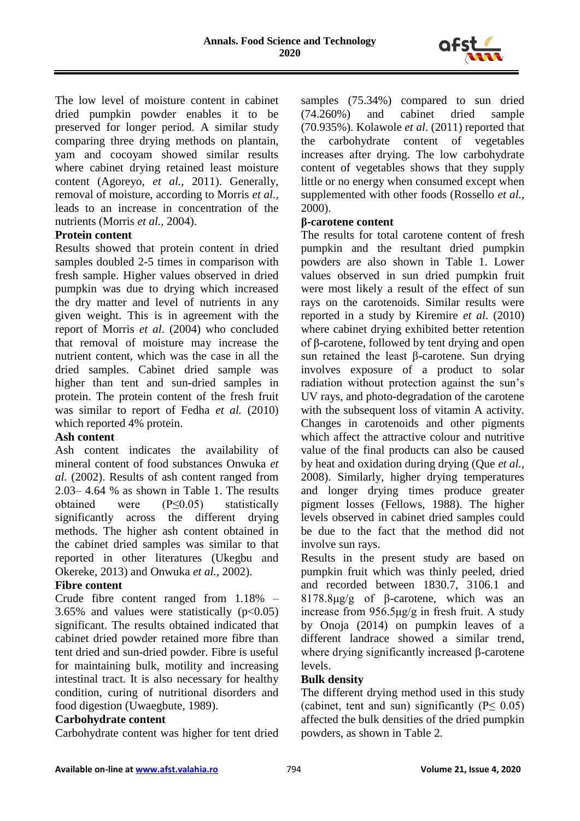

The low level of moisture content in cabinet dried pumpkin powder enables it to be preserved for longer period. A similar study comparing three drying methods on plantain, yam and cocoyam showed similar results where cabinet drying retained least moisture content (Agoreyo, *et al.*, 2011). Generally, removal of moisture, according to Morris *et al.,* leads to an increase in concentration of the nutrients (Morris *et al.,* 2004).

## **Protein content**

Results showed that protein content in dried samples doubled 2-5 times in comparison with fresh sample. Higher values observed in dried pumpkin was due to drying which increased the dry matter and level of nutrients in any given weight. This is in agreement with the report of Morris *et al*. (2004) who concluded that removal of moisture may increase the nutrient content, which was the case in all the dried samples. Cabinet dried sample was higher than tent and sun-dried samples in protein. The protein content of the fresh fruit was similar to report of Fedha *et al.* (2010) which reported 4% protein.

## **Ash content**

Ash content indicates the availability of mineral content of food substances Onwuka *et al.* (2002). Results of ash content ranged from 2.03– 4.64 % as shown in Table 1. The results obtained were (P≤0.05) statistically significantly across the different drying methods. The higher ash content obtained in the cabinet dried samples was similar to that reported in other literatures (Ukegbu and Okereke, 2013) and Onwuka *et al.*, 2002).

## **Fibre content**

Crude fibre content ranged from 1.18% – 3.65% and values were statistically  $(p<0.05)$ significant. The results obtained indicated that cabinet dried powder retained more fibre than tent dried and sun-dried powder. Fibre is useful for maintaining bulk, motility and increasing intestinal tract. It is also necessary for healthy condition, curing of nutritional disorders and food digestion (Uwaegbute, 1989).

### **Carbohydrate content**

Carbohydrate content was higher for tent dried

samples (75.34%) compared to sun dried (74.260%) and cabinet dried sample (70.935%). Kolawole *et al*. (2011) reported that the carbohydrate content of vegetables increases after drying. The low carbohydrate content of vegetables shows that they supply little or no energy when consumed except when supplemented with other foods (Rossello *et al.*, 2000).

## **β-carotene content**

The results for total carotene content of fresh pumpkin and the resultant dried pumpkin powders are also shown in Table 1. Lower values observed in sun dried pumpkin fruit were most likely a result of the effect of sun rays on the carotenoids. Similar results were reported in a study by Kiremire *et al*. (2010) where cabinet drying exhibited better retention of β-carotene, followed by tent drying and open sun retained the least β-carotene. Sun drying involves exposure of a product to solar radiation without protection against the sun's UV rays, and photo-degradation of the carotene with the subsequent loss of vitamin A activity. Changes in carotenoids and other pigments which affect the attractive colour and nutritive value of the final products can also be caused by heat and oxidation during drying (Que *et al.*, 2008). Similarly, higher drying temperatures and longer drying times produce greater pigment losses (Fellows, 1988). The higher levels observed in cabinet dried samples could be due to the fact that the method did not involve sun rays.

Results in the present study are based on pumpkin fruit which was thinly peeled, dried and recorded between 1830.7, 3106.1 and 8178.8μg/g of β-carotene, which was an increase from 956.5μg/g in fresh fruit. A study by Onoja (2014) on pumpkin leaves of a different landrace showed a similar trend, where drying significantly increased β-carotene levels.

### **Bulk density**

The different drying method used in this study (cabinet, tent and sun) significantly ( $P \le 0.05$ ) affected the bulk densities of the dried pumpkin powders, as shown in Table 2.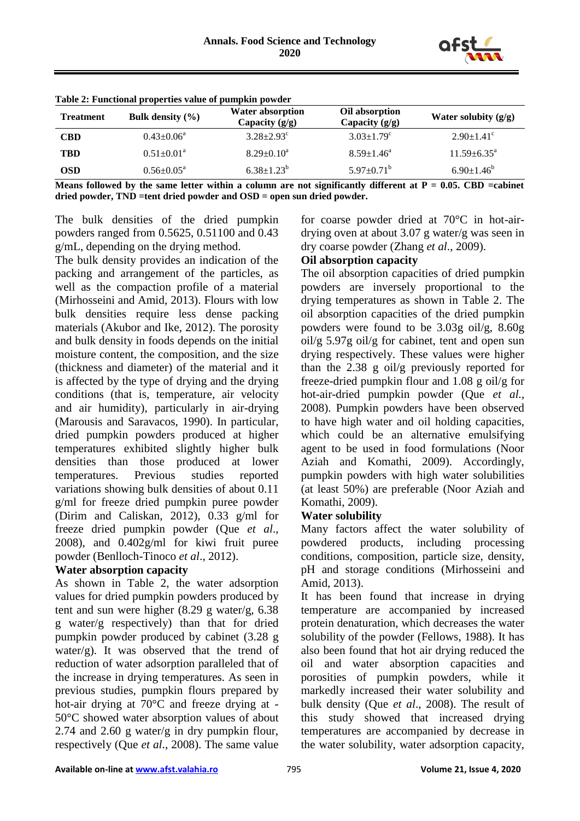

| <b>Treatment</b> | Bulk density $(\% )$         | <b>Water absorption</b><br>Capacity $(g/g)$ | Oil absorption<br>Capacity $(g/g)$ | Water solubity $(g/g)$       |
|------------------|------------------------------|---------------------------------------------|------------------------------------|------------------------------|
| <b>CBD</b>       | $0.43 \pm 0.06^{\text{a}}$   | $3.28 \pm 2.93$ <sup>c</sup>                | $3.03 \pm 1.79$ <sup>c</sup>       | $2.90 \pm 1.41$ <sup>c</sup> |
| <b>TBD</b>       | $0.51 \pm 0.01$ <sup>a</sup> | $8.29 \pm 0.10^a$                           | $8.59 \pm 1.46^a$                  | $11.59 \pm 6.35^{\text{a}}$  |
| <b>OSD</b>       | $0.56 \pm 0.05^{\text{a}}$   | $6.38 \pm 1.23^b$                           | $5.97 \pm 0.71^{\rm b}$            | $6.90 \pm 1.46^b$            |
|                  |                              | רדו מידה ימי ויידה ומרכז הרגים והיו הרו     |                                    |                              |

**Table 2: Functional properties value of pumpkin powder** 

Means followed by the same letter within a column are not significantly different at  $P = 0.05$ . CBD =cabinet **dried powder, TND =tent dried powder and OSD = open sun dried powder.**

The bulk densities of the dried pumpkin powders ranged from 0.5625, 0.51100 and 0.43 g/mL, depending on the drying method.

The bulk density provides an indication of the packing and arrangement of the particles, as well as the compaction profile of a material (Mirhosseini and Amid, 2013). Flours with low bulk densities require less dense packing materials (Akubor and Ike, 2012). The porosity and bulk density in foods depends on the initial moisture content, the composition, and the size (thickness and diameter) of the material and it is affected by the type of drying and the drying conditions (that is, temperature, air velocity and air humidity), particularly in air-drying (Marousis and Saravacos, 1990). In particular, dried pumpkin powders produced at higher temperatures exhibited slightly higher bulk densities than those produced at lower temperatures. Previous studies reported variations showing bulk densities of about 0.11 g/ml for freeze dried pumpkin puree powder (Dirim and Caliskan, 2012), 0.33 g/ml for freeze dried pumpkin powder (Que *et al*., 2008), and 0.402g/ml for kiwi fruit puree powder (Benlloch-Tinoco *et al*., 2012).

## **Water absorption capacity**

As shown in Table 2, the water adsorption values for dried pumpkin powders produced by tent and sun were higher (8.29 g water/g, 6.38 g water/g respectively) than that for dried pumpkin powder produced by cabinet (3.28 g water/g). It was observed that the trend of reduction of water adsorption paralleled that of the increase in drying temperatures. As seen in previous studies, pumpkin flours prepared by hot-air drying at 70°C and freeze drying at - 50°C showed water absorption values of about 2.74 and 2.60 g water/g in dry pumpkin flour, respectively (Que *et al*., 2008). The same value for coarse powder dried at 70°C in hot-airdrying oven at about 3.07 g water/g was seen in dry coarse powder (Zhang *et al*., 2009).

#### **Oil absorption capacity**

The oil absorption capacities of dried pumpkin powders are inversely proportional to the drying temperatures as shown in Table 2. The oil absorption capacities of the dried pumpkin powders were found to be 3.03g oil/g, 8.60g oil/g 5.97g oil/g for cabinet, tent and open sun drying respectively. These values were higher than the 2.38 g oil/g previously reported for freeze-dried pumpkin flour and 1.08 g oil/g for hot-air-dried pumpkin powder (Que *et al.*, 2008). Pumpkin powders have been observed to have high water and oil holding capacities, which could be an alternative emulsifying agent to be used in food formulations (Noor Aziah and Komathi, 2009). Accordingly, pumpkin powders with high water solubilities (at least 50%) are preferable (Noor Aziah and Komathi, 2009).

#### **Water solubility**

Many factors affect the water solubility of powdered products, including processing conditions, composition, particle size, density, pH and storage conditions (Mirhosseini and Amid, 2013).

It has been found that increase in drying temperature are accompanied by increased protein denaturation, which decreases the water solubility of the powder (Fellows, 1988). It has also been found that hot air drying reduced the oil and water absorption capacities and porosities of pumpkin powders, while it markedly increased their water solubility and bulk density (Que *et al*., 2008). The result of this study showed that increased drying temperatures are accompanied by decrease in the water solubility, water adsorption capacity,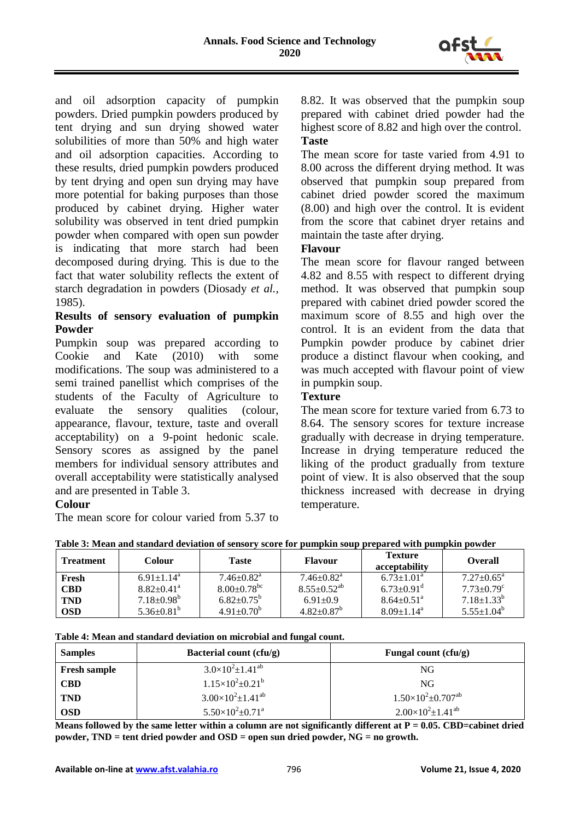

and oil adsorption capacity of pumpkin powders. Dried pumpkin powders produced by tent drying and sun drying showed water solubilities of more than 50% and high water and oil adsorption capacities. According to these results, dried pumpkin powders produced by tent drying and open sun drying may have more potential for baking purposes than those produced by cabinet drying. Higher water solubility was observed in tent dried pumpkin powder when compared with open sun powder is indicating that more starch had been decomposed during drying. This is due to the fact that water solubility reflects the extent of starch degradation in powders (Diosady *et al.,*  1985).

## **Results of sensory evaluation of pumpkin Powder**

Pumpkin soup was prepared according to Cookie and Kate (2010) with some modifications. The soup was administered to a semi trained panellist which comprises of the students of the Faculty of Agriculture to evaluate the sensory qualities (colour, appearance, flavour, texture, taste and overall acceptability) on a 9-point hedonic scale. Sensory scores as assigned by the panel members for individual sensory attributes and overall acceptability were statistically analysed and are presented in Table 3.

### **Colour**

The mean score for colour varied from 5.37 to

8.82. It was observed that the pumpkin soup prepared with cabinet dried powder had the highest score of 8.82 and high over the control. **Taste**

The mean score for taste varied from 4.91 to 8.00 across the different drying method. It was observed that pumpkin soup prepared from cabinet dried powder scored the maximum (8.00) and high over the control. It is evident from the score that cabinet dryer retains and maintain the taste after drying.

## **Flavour**

The mean score for flavour ranged between 4.82 and 8.55 with respect to different drying method. It was observed that pumpkin soup prepared with cabinet dried powder scored the maximum score of 8.55 and high over the control. It is an evident from the data that Pumpkin powder produce by cabinet drier produce a distinct flavour when cooking, and was much accepted with flavour point of view in pumpkin soup.

## **Texture**

The mean score for texture varied from 6.73 to 8.64. The sensory scores for texture increase gradually with decrease in drying temperature. Increase in drying temperature reduced the liking of the product gradually from texture point of view. It is also observed that the soup thickness increased with decrease in drying temperature.

| Table 3: Mean and standard deviation of sensory score for pumpkin soup prepared with pumpkin powder |  |  |
|-----------------------------------------------------------------------------------------------------|--|--|

| <b>Treatment</b> | <b>Colour</b>                | <b>Taste</b>                  | <b>Flavour</b>               | <b>Texture</b><br>acceptability | <b>Overall</b>               |
|------------------|------------------------------|-------------------------------|------------------------------|---------------------------------|------------------------------|
| Fresh            | $6.91 \pm 1.14$ <sup>a</sup> | $7.46 \pm 0.82$ <sup>a</sup>  | $7.46 \pm 0.82$ <sup>a</sup> | $6.73 \pm 1.01^{\circ}$         | $7.27 \pm 0.65^{\circ}$      |
| <b>CBD</b>       | $8.82 \pm 0.41$ <sup>a</sup> | $8.00 \pm 0.78$ <sup>bc</sup> | $8.55 \pm 0.52^{ab}$         | $6.73 \pm 0.91$ <sup>d</sup>    | $7.73 \pm 0.79$ <sup>c</sup> |
| <b>TND</b>       | $7.18 \pm 0.98^{\circ}$      | $6.82 \pm 0.75^{\circ}$       | $6.91 \pm 0.9$               | $8.64 \pm 0.51$ <sup>a</sup>    | $7.18 \pm 1.33^b$            |
| <b>OSD</b>       | $5.36 \pm 0.81^b$            | $4.91 \pm 0.70^b$             | $4.82 \pm 0.87^{\circ}$      | $8.09 \pm 1.14$ <sup>a</sup>    | $5.55 \pm 1.04^b$            |

**Table 4: Mean and standard deviation on microbial and fungal count.** 

| <b>Samples</b>      | Bacterial count (cfu/g)                 | Fungal count $(cfu/g)$                   |
|---------------------|-----------------------------------------|------------------------------------------|
| <b>Fresh sample</b> | $3.0\times10^{2}$ ± 1.41 <sup>ab</sup>  | NG                                       |
| <b>CBD</b>          | $1.15\times10^{2}$ ± 0.21 <sup>b</sup>  | NG                                       |
| <b>TND</b>          | $3.00\times10^{2}$ ± 1.41 <sup>ab</sup> | $1.50\times10^{2}$ ± 0.707 <sup>ab</sup> |
| <b>OSD</b>          | $5.50\times10^{2}$ ± 0.71 <sup>a</sup>  | $2.00\times10^{2}$ ± 1.41 <sup>ab</sup>  |

**Means followed by the same letter within a column are not significantly different at P = 0.05. CBD=cabinet dried powder, TND = tent dried powder and OSD = open sun dried powder, NG = no growth.**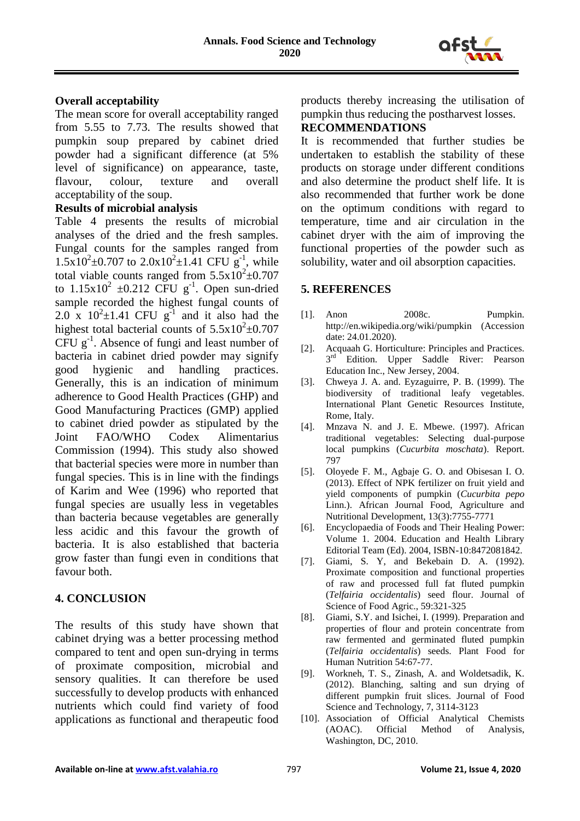

### **Overall acceptability**

The mean score for overall acceptability ranged from 5.55 to 7.73. The results showed that pumpkin soup prepared by cabinet dried powder had a significant difference (at 5% level of significance) on appearance, taste, flavour, colour, texture and overall acceptability of the soup.

### **Results of microbial analysis**

Table 4 presents the results of microbial analyses of the dried and the fresh samples. Fungal counts for the samples ranged from  $1.5x10^2 \pm 0.707$  to  $2.0x10^2 \pm 1.41$  CFU g<sup>-1</sup>, while total viable counts ranged from  $5.5 \times 10^2 \pm 0.707$ to  $1.15x10^2 \pm 0.212$  CFU g<sup>-1</sup>. Open sun-dried sample recorded the highest fungal counts of 2.0 x  $10^2 \pm 1.41$  CFU g<sup>-1</sup> and it also had the highest total bacterial counts of  $5.5 \times 10^2 \pm 0.707$  $CFU g<sup>-1</sup>$ . Absence of fungi and least number of bacteria in cabinet dried powder may signify good hygienic and handling practices. Generally, this is an indication of minimum adherence to Good Health Practices (GHP) and Good Manufacturing Practices (GMP) applied to cabinet dried powder as stipulated by the Joint FAO/WHO Codex Alimentarius Commission (1994). This study also showed that bacterial species were more in number than fungal species. This is in line with the findings of Karim and Wee (1996) who reported that fungal species are usually less in vegetables than bacteria because vegetables are generally less acidic and this favour the growth of bacteria. It is also established that bacteria grow faster than fungi even in conditions that favour both.

## **4. CONCLUSION**

The results of this study have shown that cabinet drying was a better processing method compared to tent and open sun-drying in terms of proximate composition, microbial and sensory qualities. It can therefore be used successfully to develop products with enhanced nutrients which could find variety of food applications as functional and therapeutic food products thereby increasing the utilisation of pumpkin thus reducing the postharvest losses.

### **RECOMMENDATIONS**

It is recommended that further studies be undertaken to establish the stability of these products on storage under different conditions and also determine the product shelf life. It is also recommended that further work be done on the optimum conditions with regard to temperature, time and air circulation in the cabinet dryer with the aim of improving the functional properties of the powder such as solubility, water and oil absorption capacities.

### **5. REFERENCES**

- [1]. Anon 2008c. Pumpkin. http://en.wikipedia.org/wiki/pumpkin (Accession date: 24.01.2020).
- [2]. Acquaah G. Horticulture: Principles and Practices. 3<sup>rd</sup> Edition. Upper Saddle River: Pearson Education Inc., New Jersey, 2004.
- [3]. Chweya J. A. and. Eyzaguirre, P. B. (1999). The biodiversity of traditional leafy vegetables. International Plant Genetic Resources Institute, Rome, Italy.
- [4]. Mnzava N. and J. E. Mbewe. (1997). African traditional vegetables: Selecting dual-purpose local pumpkins (*Cucurbita moschata*). Report. 797
- [5]. Oloyede F. M., Agbaje G. O. and Obisesan I. O. (2013). Effect of NPK fertilizer on fruit yield and yield components of pumpkin (*Cucurbita pepo*  Linn.). African Journal Food, Agriculture and Nutritional Development, 13(3):7755-7771
- [6]. Encyclopaedia of Foods and Their Healing Power: Volume 1. 2004. Education and Health Library Editorial Team (Ed). 2004, ISBN-10:8472081842.
- [7]. Giami, S. Y, and Bekebain D. A. (1992). Proximate composition and functional properties of raw and processed full fat fluted pumpkin (*Telfairia occidentalis*) seed flour. Journal of Science of Food Agric., 59:321-325
- [8]. Giami, S.Y. and Isichei, I. (1999). Preparation and properties of flour and protein concentrate from raw fermented and germinated fluted pumpkin (*Telfairia occidentalis*) seeds. Plant Food for Human Nutrition 54:67-77.
- [9]. Workneh, T. S., Zinash, A. and Woldetsadik, K. (2012). Blanching, salting and sun drying of different pumpkin fruit slices. Journal of Food Science and Technology, 7, 3114-3123
- [10]. Association of Official Analytical Chemists (AOAC). Official Method of Analysis, Washington, DC, 2010.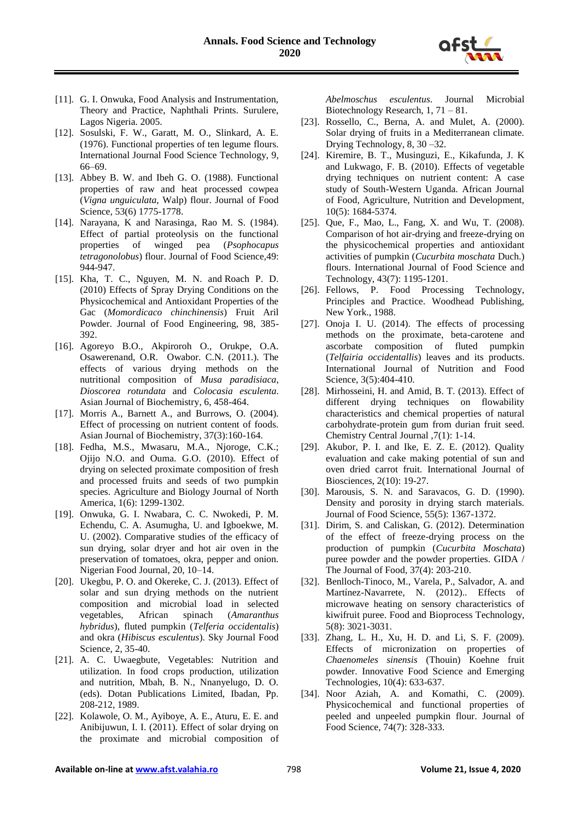

- [11]. G. I. Onwuka, Food Analysis and Instrumentation, Theory and Practice, Naphthali Prints. Surulere, Lagos Nigeria. 2005.
- [12]. Sosulski, F. W., Garatt, M. O., Slinkard, A. E. (1976). Functional properties of ten legume flours. International Journal Food Science Technology, 9, 66–69.
- [13]. Abbey B. W. and Ibeh G. O. (1988). Functional properties of raw and heat processed cowpea (*Vigna unguiculata*, Walp) flour. Journal of Food Science, 53(6) 1775-1778.
- [14]. Narayana, K and Narasinga, Rao M. S. (1984). Effect of partial proteolysis on the functional properties of winged pea (*Psophocapus tetragonolobus*) flour. Journal of Food Science*,*49: 944-947.
- [15]. Kha, T. C., Nguyen, M. N. and Roach P. D. (2010) Effects of Spray Drying Conditions on the Physicochemical and Antioxidant Properties of the Gac (*Momordicaco chinchinensis*) Fruit Aril Powder. Journal of Food Engineering, 98, 385- 392.
- [16]. Agoreyo B.O., Akpiroroh O., Orukpe, O.A. Osawerenand, O.R. Owabor. C.N. (2011.). The effects of various drying methods on the nutritional composition of *Musa paradisiaca*, *Dioscorea rotundata* and *Colocasia esculenta*. Asian Journal of Biochemistry, 6, 458-464.
- [17]. Morris A., Barnett A., and Burrows, O. (2004). Effect of processing on nutrient content of foods. Asian Journal of Biochemistry, 37(3):160-164.
- [18]. Fedha, M.S., Mwasaru, M.A., Njoroge, C.K.; Ojijo N.O. and Ouma. G.O. (2010). Effect of drying on selected proximate composition of fresh and processed fruits and seeds of two pumpkin species. Agriculture and Biology Journal of North America, 1(6): 1299-1302.
- [19]. Onwuka, G. I. Nwabara, C. C. Nwokedi, P. M. Echendu, C. A. Asumugha, U. and Igboekwe, M. U. (2002). Comparative studies of the efficacy of sun drying, solar dryer and hot air oven in the preservation of tomatoes, okra, pepper and onion. Nigerian Food Journal, 20, 10–14.
- [20]. Ukegbu, P. O. and Okereke, C. J. (2013). Effect of solar and sun drying methods on the nutrient composition and microbial load in selected vegetables, African spinach (*Amaranthus hybridus*), fluted pumpkin (*Telferia occidentalis*) and okra (*Hibiscus esculentus*). Sky Journal Food Science, 2, 35-40.
- [21]. A. C. Uwaegbute, Vegetables: Nutrition and utilization. In food crops production, utilization and nutrition, Mbah, B. N., Nnanyelugo, D. O. (eds). Dotan Publications Limited, Ibadan, Pp. 208-212, 1989.
- [22]. Kolawole, O. M., Ayiboye, A. E., Aturu, E. E. and Anibijuwun, I. I. (2011). Effect of solar drying on the proximate and microbial composition of

*Abelmoschus esculentus*. Journal Microbial Biotechnology Research, 1, 71 – 81.

- [23]. Rossello, C., Berna, A. and Mulet, A. (2000). Solar drying of fruits in a Mediterranean climate. Drying Technology, 8, 30 –32.
- [24]. Kiremire, B. T., Musinguzi, E., Kikafunda, J. K and Lukwago, F. B. (2010). Effects of vegetable drying techniques on nutrient content: A case study of South-Western Uganda. African Journal of Food, Agriculture, Nutrition and Development, 10(5): 1684-5374.
- [25]. Que, F., Mao, L., Fang, X. and Wu, T. (2008). Comparison of hot air-drying and freeze-drying on the physicochemical properties and antioxidant activities of pumpkin (*Cucurbita moschata* Duch.) flours. International Journal of Food Science and Technology, 43(7): 1195-1201.
- [26]. Fellows, P. Food Processing Technology, Principles and Practice. Woodhead Publishing, New York., 1988.
- [27]. Onoja I. U. (2014). The effects of processing methods on the proximate, beta-carotene and ascorbate composition of fluted pumpkin (*Telfairia occidentallis*) leaves and its products. International Journal of Nutrition and Food Science, 3(5):404-410.
- [28]. Mirhosseini, H. and Amid, B. T. (2013). Effect of different drying techniques on flowability characteristics and chemical properties of natural carbohydrate-protein gum from durian fruit seed. Chemistry Central Journal ,7(1): 1-14.
- [29]. Akubor, P. I. and Ike, E. Z. E. (2012). Quality evaluation and cake making potential of sun and oven dried carrot fruit. International Journal of Biosciences, 2(10): 19-27.
- [30]. Marousis, S. N. and Saravacos, G. D. (1990). Density and porosity in drying starch materials. Journal of Food Science, 55(5): 1367-1372.
- [31]. Dirim, S. and Caliskan, G. (2012). Determination of the effect of freeze-drying process on the production of pumpkin (*Cucurbita Moschata*) puree powder and the powder properties. GIDA / The Journal of Food, 37(4): 203-210.
- [32]. Benlloch-Tinoco, M., Varela, P., Salvador, A. and Martínez-Navarrete, N. (2012).. Effects of microwave heating on sensory characteristics of kiwifruit puree. Food and Bioprocess Technology, 5(8): 3021-3031.
- [33]. Zhang, L. H., Xu, H. D. and Li, S. F. (2009). Effects of micronization on properties of *Chaenomeles sinensis* (Thouin) Koehne fruit powder. Innovative Food Science and Emerging Technologies, 10(4): 633-637.
- [34]. Noor Aziah, A. and Komathi, C. (2009). Physicochemical and functional properties of peeled and unpeeled pumpkin flour. Journal of Food Science, 74(7): 328-333.